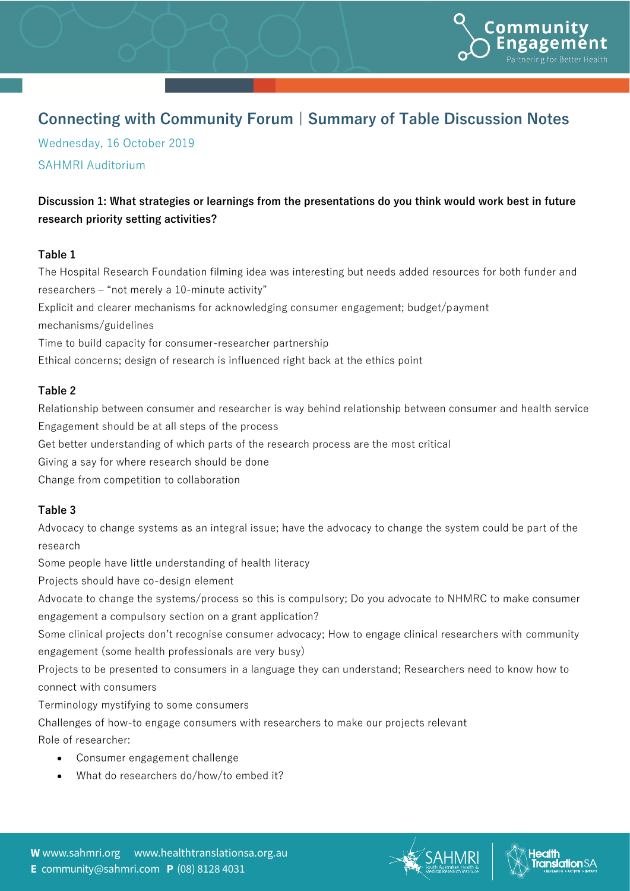

# **Connecting with Community Forum | Summary of Table Discussion Notes**

Wednesday, 16 October 2019 SAHMRI Auditorium

## **Discussion 1: What strategies or learnings from the presentations do you think would work best in future research priority setting activities?**

#### **Table 1**

The Hospital Research Foundation filming idea was interesting but needs added resources for both funder and researchers – "not merely a 10-minute activity" Explicit and clearer mechanisms for acknowledging consumer engagement; budget/payment mechanisms/guidelines Time to build capacity for consumer-researcher partnership Ethical concerns; design of research is influenced right back at the ethics point

#### **Table 2**

Relationship between consumer and researcher is way behind relationship between consumer and health service Engagement should be at all steps of the process Get better understanding of which parts of the research process are the most critical Giving a say for where research should be done Change from competition to collaboration

## **Table 3**

Advocacy to change systems as an integral issue; have the advocacy to change the system could be part of the research

Some people have little understanding of health literacy

Projects should have co-design element

Advocate to change the systems/process so this is compulsory; Do you advocate to NHMRC to make consumer engagement a compulsory section on a grant application?

Some clinical projects don't recognise consumer advocacy; How to engage clinical researchers with community engagement (some health professionals are very busy)

Projects to be presented to consumers in a language they can understand; Researchers need to know how to connect with consumers

Terminology mystifying to some consumers

Challenges of how-to engage consumers with researchers to make our projects relevant

Role of researcher:

- Consumer engagement challenge
- What do researchers do/how/to embed it?



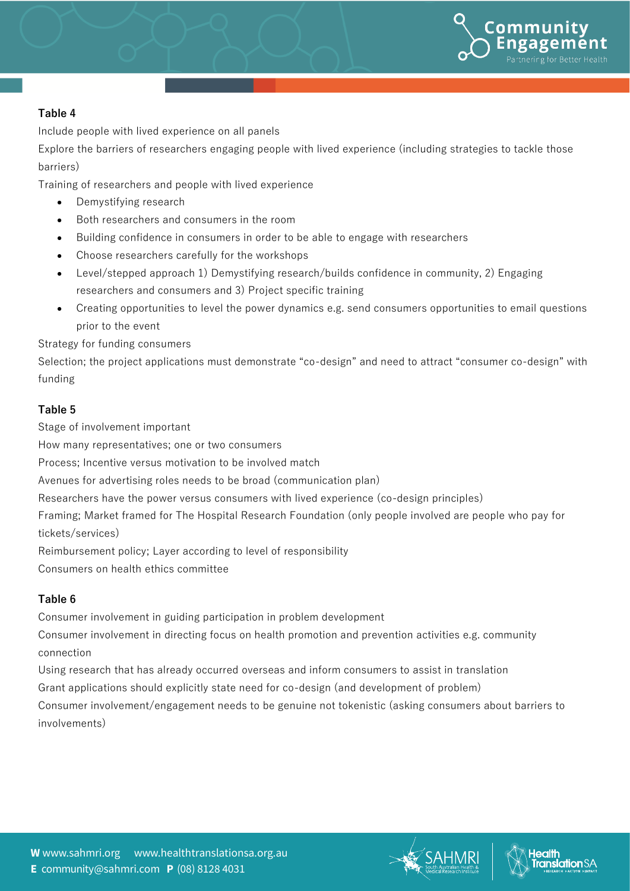

#### **Table 4**

Include people with lived experience on all panels

Explore the barriers of researchers engaging people with lived experience (including strategies to tackle those barriers)

Training of researchers and people with lived experience

- Demystifying research
- Both researchers and consumers in the room
- Building confidence in consumers in order to be able to engage with researchers
- Choose researchers carefully for the workshops
- Level/stepped approach 1) Demystifying research/builds confidence in community, 2) Engaging researchers and consumers and 3) Project specific training
- Creating opportunities to level the power dynamics e.g. send consumers opportunities to email questions prior to the event

Strategy for funding consumers

Selection; the project applications must demonstrate "co-design" and need to attract "consumer co-design" with funding

#### **Table 5**

Stage of involvement important

How many representatives; one or two consumers

Process; Incentive versus motivation to be involved match

Avenues for advertising roles needs to be broad (communication plan)

Researchers have the power versus consumers with lived experience (co-design principles)

Framing; Market framed for The Hospital Research Foundation (only people involved are people who pay for tickets/services)

Reimbursement policy; Layer according to level of responsibility

Consumers on health ethics committee

## **Table 6**

Consumer involvement in guiding participation in problem development

Consumer involvement in directing focus on health promotion and prevention activities e.g. community connection

Using research that has already occurred overseas and inform consumers to assist in translation Grant applications should explicitly state need for co-design (and development of problem) Consumer involvement/engagement needs to be genuine not tokenistic (asking consumers about barriers to involvements)





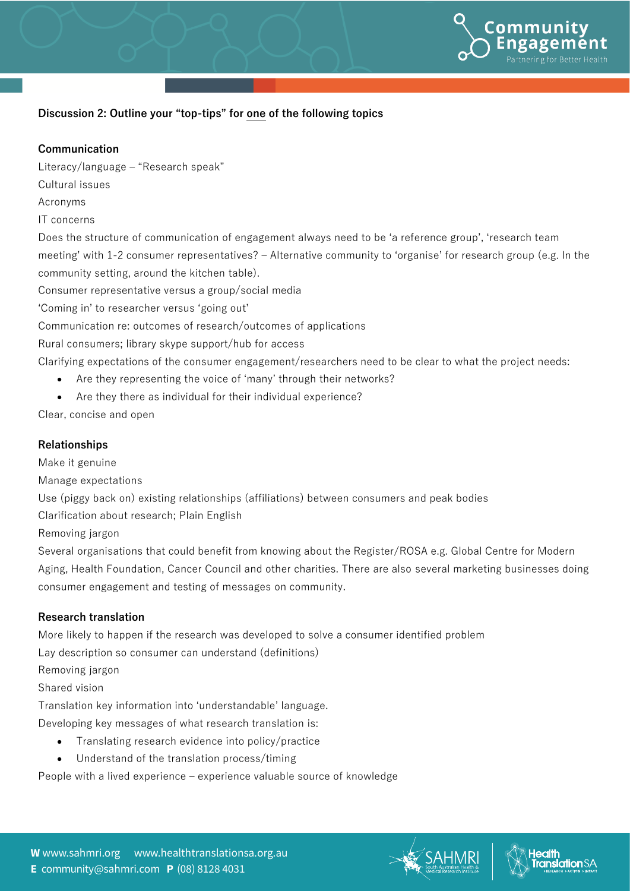

#### **Discussion 2: Outline your "top-tips" for one of the following topics**

#### **Communication**

Literacy/language – "Research speak"

Cultural issues

Acronyms

IT concerns

Does the structure of communication of engagement always need to be 'a reference group', 'research team meeting' with 1-2 consumer representatives? – Alternative community to 'organise' for research group (e.g. In the community setting, around the kitchen table).

Consumer representative versus a group/social media

'Coming in' to researcher versus 'going out'

Communication re: outcomes of research/outcomes of applications

Rural consumers; library skype support/hub for access

Clarifying expectations of the consumer engagement/researchers need to be clear to what the project needs:

- Are they representing the voice of 'many' through their networks?
- Are they there as individual for their individual experience?

Clear, concise and open

#### **Relationships**

Make it genuine

Manage expectations

Use (piggy back on) existing relationships (affiliations) between consumers and peak bodies

Clarification about research; Plain English

Removing jargon

Several organisations that could benefit from knowing about the Register/ROSA e.g. Global Centre for Modern Aging, Health Foundation, Cancer Council and other charities. There are also several marketing businesses doing consumer engagement and testing of messages on community.

#### **Research translation**

More likely to happen if the research was developed to solve a consumer identified problem

Lay description so consumer can understand (definitions)

Removing jargon

Shared vision

Translation key information into 'understandable' language.

Developing key messages of what research translation is:

- Translating research evidence into policy/practice
- Understand of the translation process/timing

People with a lived experience – experience valuable source of knowledge



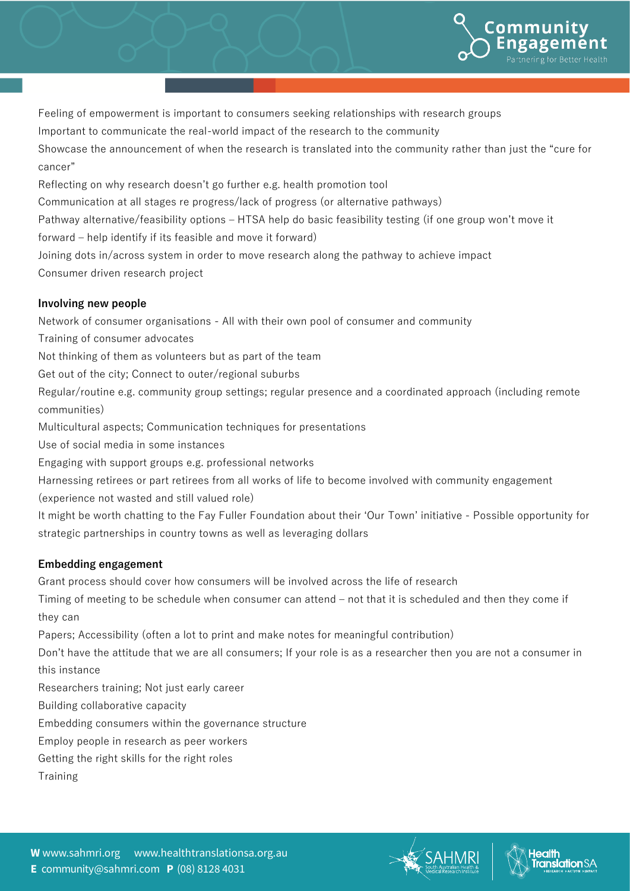

Feeling of empowerment is important to consumers seeking relationships with research groups

Important to communicate the real-world impact of the research to the community

Showcase the announcement of when the research is translated into the community rather than just the "cure for cancer"

Reflecting on why research doesn't go further e.g. health promotion tool

Communication at all stages re progress/lack of progress (or alternative pathways)

Pathway alternative/feasibility options – HTSA help do basic feasibility testing (if one group won't move it

forward – help identify if its feasible and move it forward)

Joining dots in/across system in order to move research along the pathway to achieve impact Consumer driven research project

## **Involving new people**

Network of consumer organisations - All with their own pool of consumer and community

- Training of consumer advocates
- Not thinking of them as volunteers but as part of the team
- Get out of the city; Connect to outer/regional suburbs

Regular/routine e.g. community group settings; regular presence and a coordinated approach (including remote communities)

Multicultural aspects; Communication techniques for presentations

Use of social media in some instances

Engaging with support groups e.g. professional networks

Harnessing retirees or part retirees from all works of life to become involved with community engagement

(experience not wasted and still valued role)

It might be worth chatting to the Fay Fuller Foundation about their 'Our Town' initiative - Possible opportunity for strategic partnerships in country towns as well as leveraging dollars

## **Embedding engagement**

Grant process should cover how consumers will be involved across the life of research

Timing of meeting to be schedule when consumer can attend – not that it is scheduled and then they come if they can

Papers; Accessibility (often a lot to print and make notes for meaningful contribution)

Don't have the attitude that we are all consumers; If your role is as a researcher then you are not a consumer in this instance

Researchers training; Not just early career

Building collaborative capacity

Embedding consumers within the governance structure

Employ people in research as peer workers

Getting the right skills for the right roles

Training